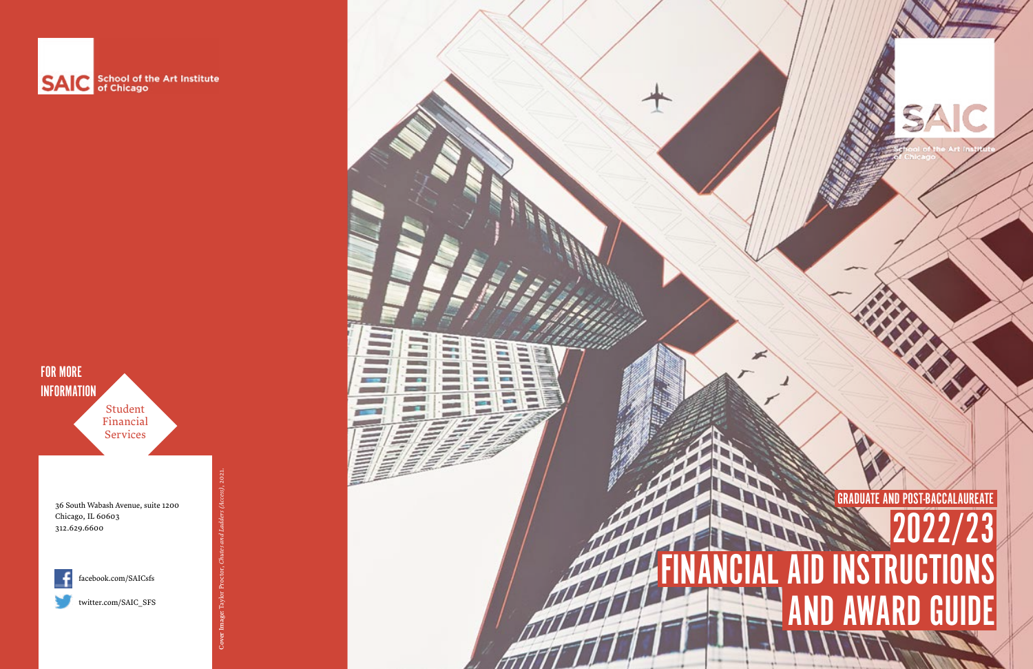36 South Wabash Avenue, suite 1200 Chicago, IL 60603 312.629.6600



[facebook.com/SAICsfs](http://facebook.com/SAICsfs )

[twitter.com/SAIC\\_SFS](http://twitter.com/SAIC_SFS)



# 23 FINANCIAL AID INSTRUCTIONS **GUIDE** GRADUATE AND POST-BACCALAUREATE

SAIC





Cover Image: Taylor Proctor, *Chutes and Ladders (Access)*, 2021.

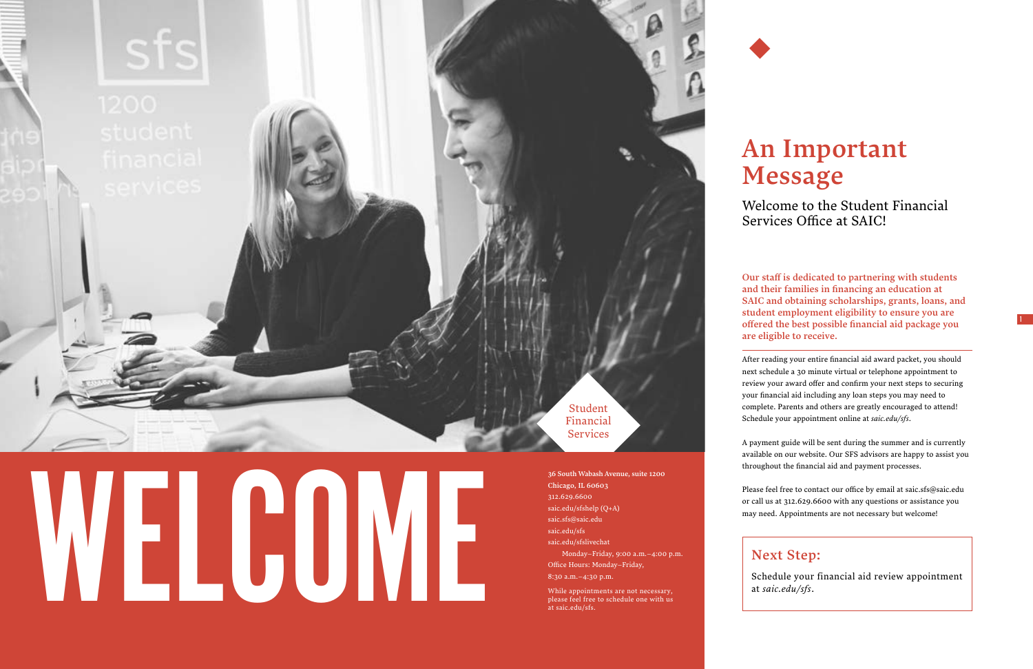

# $\begin{tabular}{|c|c|} \hline & $\scriptstyle \frac{36}{316}\text{South Wabsah Avenue, suite } 1200$ \\ \hline \text{Chicago, II. 66003} \\ \text{size-du/sfshelp} \text{ (Q+A)} \\ \text{size-fids/sfiskelp} \\ \text{size-du/sfshis} \\ \text{Model} \\ \hline \end{tabular} \hspace{1.5cm} \begin{tabular}{|c|c|} \hline \text{G} & \text{S3C1M} \text{Wabash Avenue, suite } 1200$ \\ \hline \text{size-du/sfshelp} \text{ (Q+A)} \\ \text{size-du/sfisk} \\ \text{model} \\$



Student Financial Services

Chicago, IL 60603 312.629.6600 [saic.edu/sfshelp](http://saic.edu/sfshelp) (Q+A) saic.sfs@saic.edu [saic.edu/sfs](http://saic.edu/sfs) [saic.edu/sfslivechat](http://saic.edu/sfslivechat ) Monday–Friday, 9:00 a.m.–4:00 p.m. Office Hours: Monday–Friday, 8:30 a.m.–4:30 p.m.

While appointments are not necessary, please feel free to schedule one with us at [saic.edu/sfs.](http://saic.edu/sfs)

Our staff is dedicated to partnering with students and their families in financing an education at SAIC and obtaining scholarships, grants, loans, and student employment eligibility to ensure you are offered the best possible financial aid package you are eligible to receive.

After reading your entire financial aid award packet, you should next schedule a 30 minute virtual or telephone appointment to review your award offer and confirm your next steps to securing your financial aid including any loan steps you may need to complete. Parents and others are greatly encouraged to attend! Schedule your appointment online at *[saic.edu/sfs](http://saic.edu/sfs)*.

A payment guide will be sent during the summer and is currently available on our website. Our SFS advisors are happy to assist you throughout the financial aid and payment processes.

Please feel free to contact our office by email at saic.sfs@saic.edu or call us at 312.629.6600 with any questions or assistance you may need. Appointments are not necessary but welcome!

# An Important Message

Welcome to the Student Financial Services Office at SAIC!

Next Step: Schedule your financial aid review appointment at *[saic.edu/sfs](http://saic.edu/sfs)*.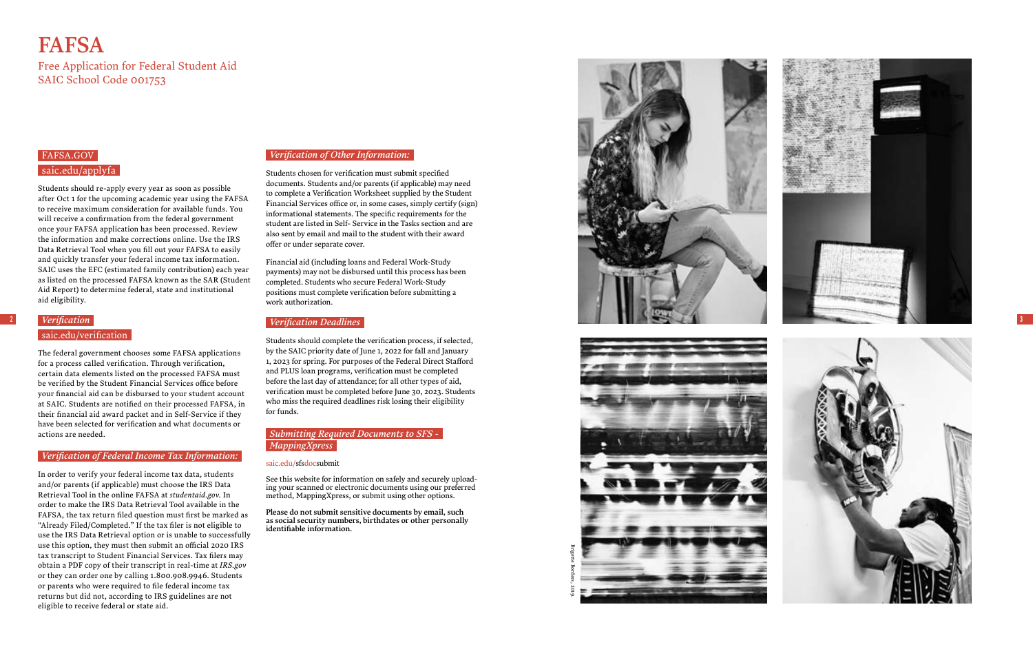2

### [FAFSA.GOV](http://FAFSA.GOV ) [saic.edu/applyfa](http://saic.edu/applyfa )

Students should re-apply every year as soon as possible after Oct 1 for the upcoming academic year using the FAFSA to receive maximum consideration for available funds. You will receive a confirmation from the federal government once your FAFSA application has been processed. Review the information and make corrections online. Use the IRS Data Retrieval Tool when you fill out your FAFSA to easily and quickly transfer your federal income tax information. SAIC uses the EFC (estimated family contribution) each year as listed on the processed FAFSA known as the SAR (Student Aid Report) to determine federal, state and institutional aid eligibility.

In order to verify your federal income tax data, students and/or parents (if applicable) must choose the IRS Data Retrieval Tool in the online FAFSA at *[studentaid.gov](https://studentaid.gov/h/apply-for-aid/fafsa)*. In order to make the IRS Data Retrieval Tool available in the FAFSA, the tax return filed question must first be marked as "Already Filed/Completed." If the tax filer is not eligible to use the IRS Data Retrieval option or is unable to successfully use this option, they must then submit an official 2020 IRS tax transcript to Student Financial Services. Tax filers may obtain a PDF copy of their transcript in real-time at *[IRS.gov](http://IRS.gov)* or they can order one by calling 1.800.908.9946. Students or parents who were required to file federal income tax returns but did not, according to IRS guidelines are not eligible to receive federal or state aid.

### *Verification*

[saic.edu/verification](https://www.saic.edu/financial-aid/policies/federal-verification-withdrawal-and-satisfactory-progress)

The federal government chooses some FAFSA applications for a process called verification. Through verification, certain data elements listed on the processed FAFSA must be verified by the Student Financial Services office before your financial aid can be disbursed to your student account at SAIC. Students are notified on their processed FAFSA, in their financial aid award packet and in Self-Service if they have been selected for verification and what documents or actions are needed.

### *Verification of Federal Income Tax Information:*

Financial aid (including loans and Federal Work-Study payments) may not be disbursed until this process has been completed. Students who secure Federal Work-Study positions must complete verification before submitting a work authorization.

### *Verification of Other Information:*

Students chosen for verification must submit specified documents. Students and/or parents (if applicable) may need to complete a Verification Worksheet supplied by the Student Financial Services office or, in some cases, simply certify (sign) informational statements. The specific requirements for the student are listed in Self- Service in the Tasks section and are also sent by email and mail to the student with their award offer or under separate cover.

### *Verification Deadlines*

Students should complete the verification process, if selected, by the SAIC priority date of June 1, 2022 for fall and January 1, 2023 for spring. For purposes of the Federal Direct Stafford and PLUS loan programs, verification must be completed before the last day of attendance; for all other types of aid, verification must be completed before June 30, 2023. Students who miss the required deadlines risk losing their eligibility for funds.

### *Submitting Required Documents to SFS - MappingXpress*

[saic.edu/sfsdocsubmit](https://www.saic.edu/financial-aid/submitting-documents)

See this website for information on safely and securely upload ing your scanned or electronic documents using our preferred method, MappingXpress, or submit using other options.

Please do not submit sensitive documents by email, such as social security numbers, birthdates or other personally identifiable information.

# **FAFSA**

Free Application for Federal Student Aid SAIC School Code 001753



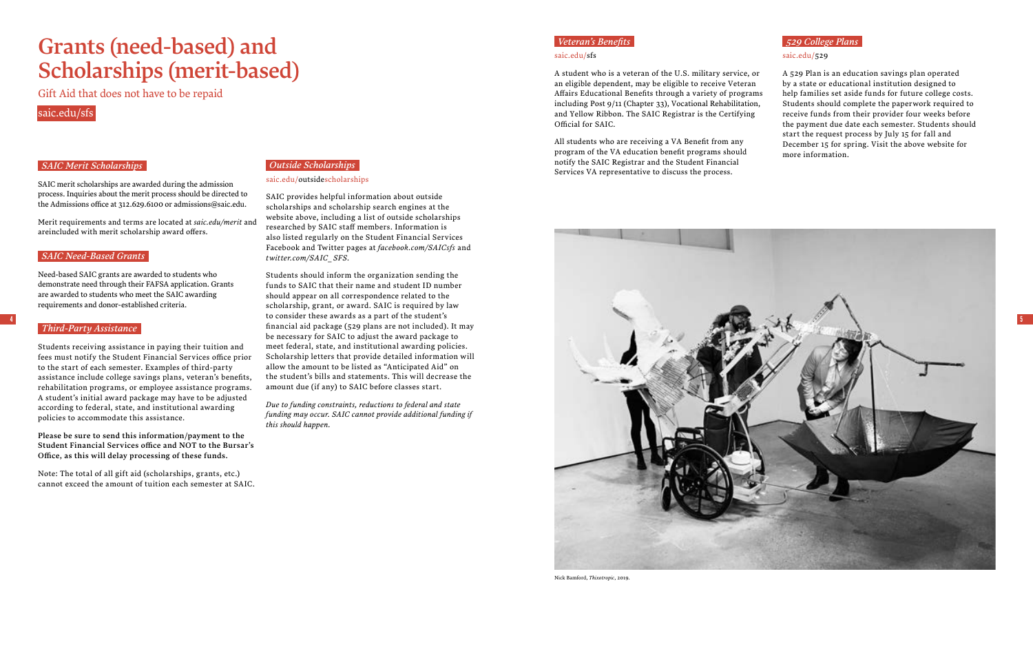### *Veteran's Benefits*

### [saic.edu/sfs](http://saic.edu/sfs )

All students who are receiving a VA Benefit from any program of the VA education benefit programs should notify the SAIC Registrar and the Student Financial Outside Scholarships<br>Services VA representative to discuss the process.<br>Services VA representative to discuss the process.

A student who is a veteran of the U.S. military service, or an eligible dependent, may be eligible to receive Veteran Affairs Educational Benefits through a variety of programs including Post 9/11 (Chapter 33), Vocational Rehabilitation, and Yellow Ribbon. The SAIC Registrar is the Certifying Official for SAIC.

### [saic.edu/outsidescholarships](http://saic.edu/outsidescholarships )



SAIC provides helpful information about outside scholarships and scholarship search engines at the website above, including a list of outside scholarships researched by SAIC staff members. Information is also listed regularly on the Student Financial Services Facebook and Twitter pages at *[facebook.com/SAICsfs](http:// facebook.com/SAICsfs)* and *[twitter.com/SAIC\\_SFS.](http://twitter.com/SAIC_SFS)* 

Students should inform the organization sending the funds to SAIC that their name and student ID number should appear on all correspondence related to the scholarship, grant, or award. SAIC is required by law financial aid package (529 plans are not included). It may be necessary for SAIC to adjust the award package to meet federal, state, and institutional awarding policies. Scholarship letters that provide detailed information will allow the amount to be listed as "Anticipated Aid" on the student's bills and statements. This will decrease the amount due (if any) to SAIC before classes start.

*Due to funding constraints, reductions to federal and state funding may occur. SAIC cannot provide additional funding if this should happen.*

### *SAIC Merit Scholarships*

SAIC merit scholarships are awarded during the admission process. Inquiries about the merit process should be directed to the Admissions office at 312.629.6100 or admissions@saic.edu.

Merit requirements and terms are located at *[saic.edu/merit](http://saic.edu/merit)* and areincluded with merit scholarship award offers.

### *SAIC Need-Based Grants*

Need-based SAIC grants are awarded to students who demonstrate need through their FAFSA application. Grants are awarded to students who meet the SAIC awarding requirements and donor-established criteria.

### *Third-Party Assistance*

Students receiving assistance in paying their tuition and fees must notify the Student Financial Services office prior to the start of each semester. Examples of third-party assistance include college savings plans, veteran's benefits, rehabilitation programs, or employee assistance programs. A student's initial award package may have to be adjusted according to federal, state, and institutional awarding policies to accommodate this assistance.

Please be sure to send this information/payment to the Student Financial Services office and NOT to the Bursar's Office, as this will delay processing of these funds.

Note: The total of all gift aid (scholarships, grants, etc.) cannot exceed the amount of tuition each semester at SAIC.

# Grants (need-based) and Scholarships (merit-based)

Gift Aid that does not have to be repaid

### [saic.edu/sfs](http://saic.edu/sfs)

### *529 College Plans*

### [saic.edu/529](http://saic.edu/529  )

A 529 Plan is an education savings plan operated by a state or educational institution designed to help families set aside funds for future college costs. Students should complete the paperwork required to receive funds from their provider four weeks before the payment due date each semester. Students should start the request process by July 15 for fall and December 15 for spring. Visit the above website for more information.

Nick Bamford, *Thixotropic*, 2019.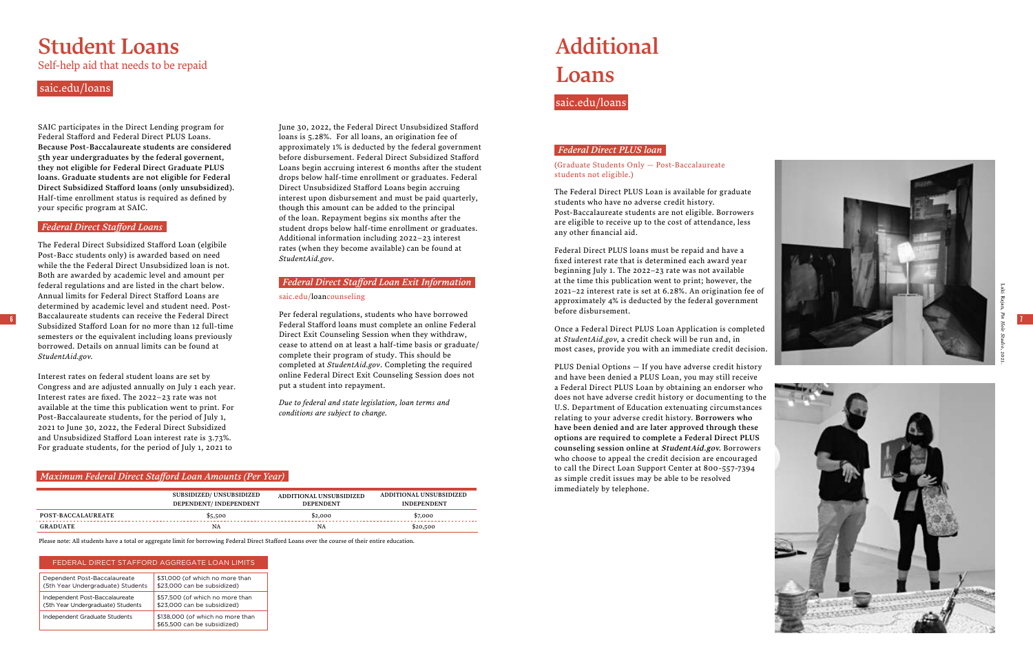6

7

SAIC participates in the Direct Lending program for Federal Stafford and Federal Direct PLUS Loans. Because Post-Baccalaureate students are considered 5th year undergraduates by the federal governent, they not eligible for Federal Direct Graduate PLUS loans. Graduate students are not eligible for Federal Direct Subsidized Stafford loans (only unsubsidized). Half-time enrollment status is required as defined by your specific program at SAIC.

### *Federal Direct Stafford Loans*

The Federal Direct Subsidized Stafford Loan (elgibile Post-Bacc students only) is awarded based on need while the the Federal Direct Unsubsidized loan is not. Both are awarded by academic level and amount per federal regulations and are listed in the chart below. Annual limits for Federal Direct Stafford Loans are determined by academic level and student need. Post-Baccalaureate students can receive the Federal Direct Subsidized Stafford Loan for no more than 12 full-time semesters or the equivalent including loans previously borrowed. Details on annual limits can be found at *[StudentAid.gov](http://StudentAid.gov) .*

Interest rates on federal student loans are set by Congress and are adjusted annually on July 1 each year. Interest rates are fixed. The 2022–23 rate was not available at the time this publication went to print. For Post-Baccalaureate students, for the period of July 1, 2021 to June 30, 2022, the Federal Direct Subsidized and Unsubsidized Stafford Loan interest rate is 3.73%. For graduate students, for the period of July 1, 2021 to

June 30, 2022, the Federal Direct Unsubsidized Stafford loans is 5.28%. For all loans, an origination fee of approximately 1% is deducted by the federal government before disbursement. Federal Direct Subsidized Stafford Loans begin accruing interest 6 months after the student drops below half-time enrollment or graduates. Federal Direct Unsubsidized Stafford Loans begin accruing interest upon disbursement and must be paid quarterly, though this amount can be added to the principal of the loan. Repayment begins six months after the student drops below half-time enrollment or graduates. Additional information including 2022–23 interest rates (when they become available) can be found at *[StudentAid.gov](http://StudentAid.gov)* .

### *Federal Direct Stafford Loan Exit Information*

### [saic.edu/loancounseling](http://saic.edu/loancounseling )

Per federal regulations, students who have borrowed Federal Stafford loans must complete an online Federal Direct Exit Counseling Session when they withdraw, cease to attend on at least a half-time basis or graduate/ complete their program of study. This should be completed at *StudentAid.gov*. Completing the required online Federal Direct Exit Counseling Session does not put a student into repayment.

*Due to federal and state legislation, loan terms and conditions are subject to change.*

### *Maximum Federal Direct Stafford Loan Amounts (Per Year)*

|                           | <b>SUBSIDIZED/ UNSUBSIDIZED</b><br>DEPENDENT/ INDEPENDENT | ADDITIONAL UNSUBSIDIZED<br><b>DEPENDENT</b> | ADDITIONAL UNSUBSIDIZED<br><b>INDEPENDENT</b> |
|---------------------------|-----------------------------------------------------------|---------------------------------------------|-----------------------------------------------|
| <b>POST-BACCALAUREATE</b> | \$5,500                                                   | \$2,000                                     | \$7,000                                       |
| <b>GRADUATE</b>           | NA                                                        | NA                                          | \$20,500                                      |

# Student Loans

Self-help aid that needs to be repaid

### *Federal Direct PLUS loan*

(Graduate Students Only — Post-Baccalaureate students not eligible.)

The Federal Direct PLUS Loan is available for graduate students who have no adverse credit history. Post-Baccalaureate students are not eligible. Borrowers are eligible to receive up to the cost of attendance, less any other financial aid.

Federal Direct PLUS loans must be repaid and have a fixed interest rate that is determined each award year beginning July 1. The 2022–23 rate was not available at the time this publication went to print; however, the 2021–22 interest rate is set at 6.28%. An origination fee of

approximately 4% is deducted by the federal government before disbursement. Once a Federal Direct PLUS Loan Application is completed at *StudentAid.gov*, a credit check will be run and, in most cases, provide you with an immediate credit decision.

PLUS Denial Options — If you have adverse credit history and have been denied a PLUS Loan, you may still receive a Federal Direct PLUS Loan by obtaining an endorser who does not have adverse credit history or documenting to the U.S. Department of Education extenuating circumstances relating to your adverse credit history. Borrowers who have been denied and are later approved through these options are required to complete a Federal Direct PLUS counseling session online at [StudentAid.gov](http://StudentAid.gov). Borrowers who choose to appeal the credit decision are encouraged to call the Direct Loan Support Center at 800-557-7394 as simple credit issues may be able to be resolved immediately by telephone.

# Additional Loans

### [saic.edu/loans](http://saic.edu/loans  )

Please note: All students have a total or aggregate limit for borrowing Federal Direct Stafford Loans over the course of their entire education.

### [saic.edu/loans](http://saic.edu/loans  )

### FEDERAL DIRECT STAFFORD AGGREGATE LOAN LIMITS

| Dependent Post-Baccalaureate      | \$31,000 (of which no more than                                 |
|-----------------------------------|-----------------------------------------------------------------|
| (5th Year Undergraduate) Students | \$23,000 can be subsidized)                                     |
| Independent Post-Baccalaureate    | \$57,500 (of which no more than                                 |
| (5th Year Undergraduate) Students | \$23,000 can be subsidized)                                     |
| Independent Graduate Students     | \$138,000 (of which no more than<br>\$65,500 can be subsidized) |





Laki Rajan, *Pin Hole Studio*, 2021.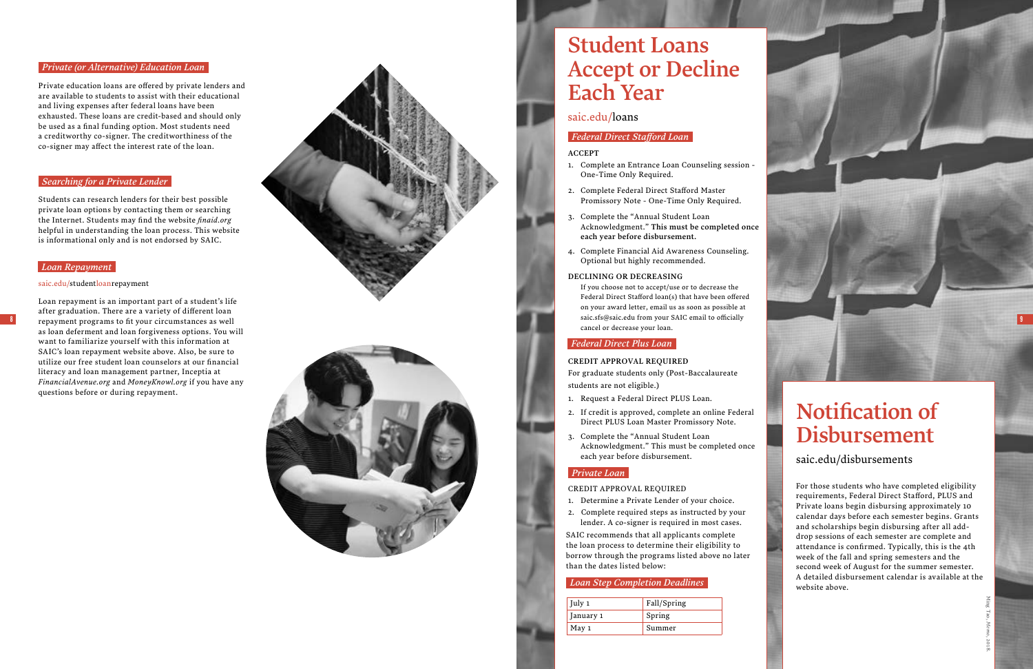### *Federal Direct Stafford Loan*

### ACCEPT

- 1. Complete an Entrance Loan Counseling session One-Time Only Required.
- 2. Complete Federal Direct Stafford Master Promissory Note - One-Time Only Required.
- 3. Complete the "Annual Student Loan Acknowledgment." This must be completed once each year before disbursement.
- 4. Complete Financial Aid Awareness Counseling. Optional but highly recommended.

### DECLINING OR DECREASING

If you choose not to accept/use or to decrease the Federal Direct Stafford loan(s) that have been offered on your award letter, email us as soon as possible at saic.sfs@saic.edu from your SAIC email to officially cancel or decrease your loan.

### *Federal Direct Plus Loan*

### CREDIT APPROVAL REQUIRED

For graduate students only (Post-Baccalaureate students are not eligible.)

- 1. Request a Federal Direct PLUS Loan.
- 2. If credit is approved, complete an online Federal Direct PLUS Loan Master Promissory Note.
- 3. Complete the "Annual Student Loan Acknowledgment." This must be completed once each year before disbursement.

### *Private Loan*

### CREDIT APPROVAL REQUIRED

- 1. Determine a Private Lender of your choice.
- 2. Complete required steps as instructed by your lender. A co-signer is required in most cases.

For those students who have completed eligibility requirements, Federal Direct Stafford, PLUS and Private loans begin disbursing approximately 10 calendar days before each semester begins. Grants and scholarships begin disbursing after all adddrop sessions of each semester are complete and attendance is confirmed. Typically, this is the 4th week of the fall and spring semesters and the second week of August for the summer semester . A detailed disbursement calendar is available at the website above.

SAIC recommends that all applicants complete the loan process to determine their eligibility to borrow through the programs listed above no later than the dates listed below:

# Student Loans Accept or Decline Each Year

### [saic.edu/loans](http://saic.edu/loans  )

# Notification of Disbursement

[saic.edu/disbursements](http://saic.edu/disbursements)

8

9

### *Private (or Alternative) Education Loan*

Private education loans are offered by private lenders and are available to students to assist with their educational and living expenses after federal loans have been exhausted. These loans are credit-based and should only be used as a final funding option. Most students need a creditworthy co-signer. The creditworthiness of the co-signer may affect the interest rate of the loan.

### *Searching for a Private Lender*

Students can research lenders for their best possible private loan options by contacting them or searching the Internet. Students may find the website *[finaid.org](http://finaid.org )* helpful in understanding the loan process. This website is informational only and is not endorsed by SAIC.

### *Loan Repayment*

### [saic.edu/studentloanrepayment](http://saic.edu/studentloanrepayment )

Loan repayment is an important part of a student's life after graduation. There are a variety of different loan repayment programs to fit your circumstances as well as loan deferment and loan forgiveness options. You will want to familiarize yourself with this information at SAIC's loan repayment website above. Also, be sure to utilize our free student loan counselors at our financial literacy and loan management partner, Inceptia at *[FinancialAvenue.org](http://FinancialAvenue.org)* and *[MoneyKnowl.org](http://MoneyKnowl.org)* if you have any questions before or during repayment.





| July 1    | Fall/Spring |
|-----------|-------------|
| January 1 | Spring      |
| May 1     | Summer      |

### *Loan Step Completion Deadlines*

Ming Tao, *Memo*, 2018.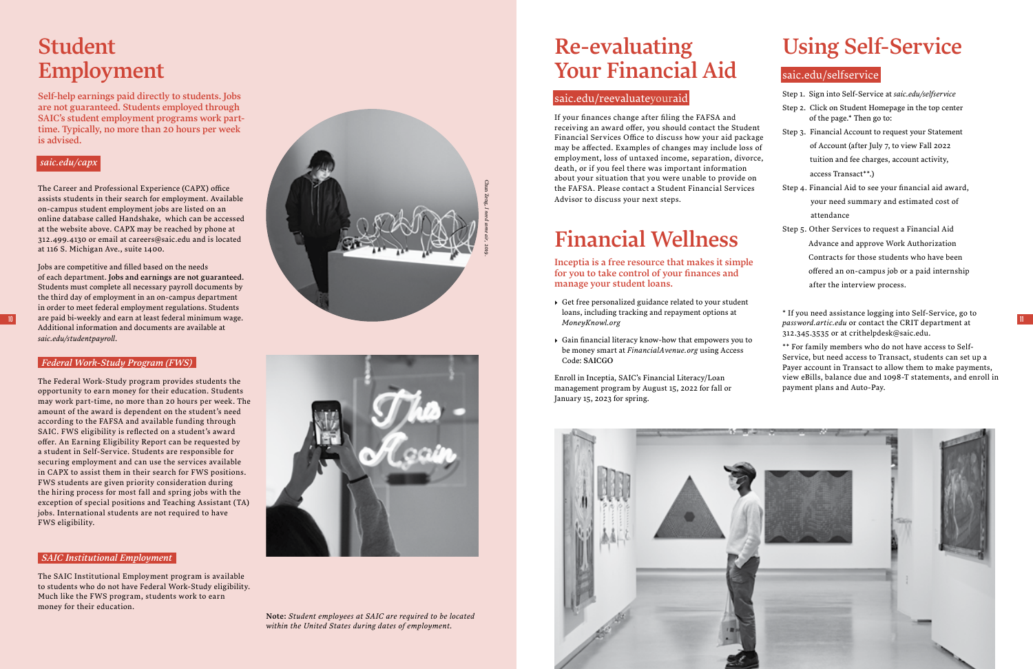# Student Employment

Self-help earnings paid directly to students. Jobs are not guaranteed. Students employed through SAIC's student employment programs work parttime. Typically, no more than 20 hours per week is advised.

### *[saic.edu/capx](http://saic.edu/capx )*

The Career and Professional Experience (CAPX) office assists students in their search for employment. Available on-campus student employment jobs are listed on an online database called Handshake, which can be accessed at the website above. CAPX may be reached by phone at 312.499.4130 or email at careers@saic.edu and is located at 116 S. Michigan Ave., suite 1400.

Jobs are competitive and filled based on the needs of each department. Jobs and earnings are not guaranteed. Students must complete all necessary payroll documents by the third day of employment in an on-campus department in order to meet federal employment regulations. Students Additional information and documents are available at *[saic.edu/studentpayroll](http://saic.edu/studentpayroll. )*.

### *Federal Work-Study Program (FWS)*

The Federal Work-Study program provides students the opportunity to earn money for their education. Students may work part-time, no more than 20 hours per week. The amount of the award is dependent on the student's need according to the FAFSA and available funding through SAIC. FWS eligibility is reflected on a student's award offer. An Earning Eligibility Report can be requested by a student in Self-Service. Students are responsible for securing employment and can use the services available in CAPX to assist them in their search for FWS positions. FWS students are given priority consideration during the hiring process for most fall and spring jobs with the exception of special positions and Teaching Assistant (TA) jobs. International students are not required to have FWS eligibility.

# Re-evaluating Your Financial Aid

### [saic.edu/reevaluateyouraid](http://saic.edu/reevaluateyouraid )





If your finances change after filing the FAFSA and receiving an award offer, you should contact the Student Financial Services Office to discuss how your aid package may be affected. Examples of changes may include loss of employment, loss of untaxed income, separation, divorce, death, or if you feel there was important information about your situation that you were unable to provide on the FAFSA. Please contact a Student Financial Services Advisor to discuss your next steps.

### *SAIC Institutional Employment*

The SAIC Institutional Employment program is available to students who do not have Federal Work-Study eligibility. Much like the FWS program, students work to earn money for their education.

# Financial Wellness

Inceptia is a free resource that makes it simple for you to take control of your finances and manage your student loans.

- ▸ Get free personalized guidance related to your student loans, including tracking and repayment options at *[MoneyKnowl.org](http://MoneyKnowl.org)*
- ▸ Gain financial literacy know-how that empowers you to be money smart at *[FinancialAvenue.org](http://FinancialAvenue.org)* using Access Code: SAICGO

Enroll in Inceptia, SAIC's Financial Literacy/Loan management program by August 15, 2022 for fall or January 15, 2023 for spring.



# Using Self-Service

### [saic.edu/selfservice](http://saic.edu/selfservice )

|  |  | Step 1. Sign into Self-Service at saic.edu/selfservice |  |  |  |
|--|--|--------------------------------------------------------|--|--|--|
|--|--|--------------------------------------------------------|--|--|--|

- Step 2. Click on Student Homepage in the top center of the page.\* Then go to:
- Step 3. Financial Account to request your Statement of Account (after July 7, to view Fall 2022 tuition and fee charges, account activity, access Transact\*\*.)
- Step 4. Financial Aid to see your financial aid award, your need summary and estimated cost of attendance
- Step 5. Other Services to request a Financial Aid Advance and approve Work Authorization Contracts for those students who have been offered an on-campus job or a paid internship after the interview process.

\* If you need assistance logging into Self-Service, go to *[password.artic.edu](http://password.artic.edu)* or contact the CRIT department at 312.345.3535 or at crithelpdesk@saic.edu.

\*\* For family members who do not have access to Self-Service, but need access to Transact, students can set up a Payer account in Transact to allow them to make payments, view eBills, balance due and 1098-T statements, and enroll in payment plans and Auto-Pay.

Note: *Student employees at SAIC are required to be located within the United States during dates of employment.*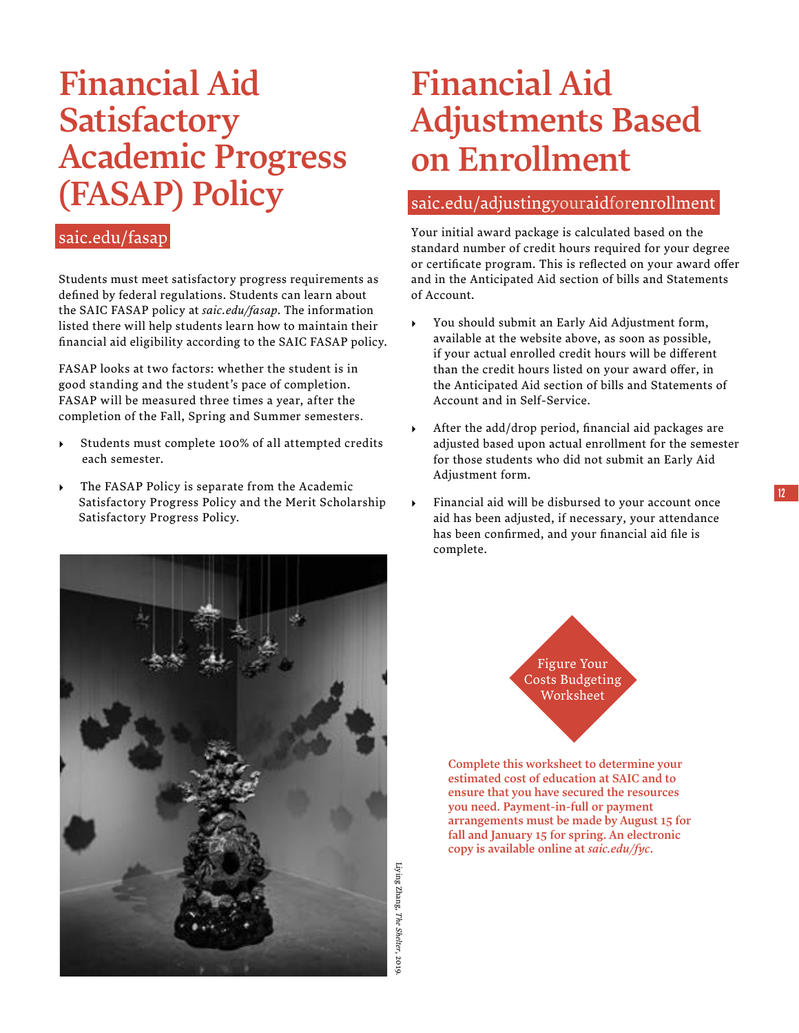# Financial Aid **Satisfactory** Academic Progress (FASAP) Policy

### [saic.edu/fasap](http://saic.edu/fasap)

Students must meet satisfactory progress requirements as defined by federal regulations. Students can learn about the SAIC FASAP policy at *[saic.edu/fasap](http://saic.edu/fasap)*. The information listed there will help students learn how to maintain their financial aid eligibility according to the SAIC FASAP policy.

FASAP looks at two factors: whether the student is in good standing and the student's pace of completion. FASAP will be measured three times a year, after the completion of the Fall, Spring and Summer semesters.

- ▸ Students must complete 100% of all attempted credits each semester.
- ▸ The FASAP Policy is separate from the Academic Satisfactory Progress Policy and the Merit Scholarship Satisfactory Progress Policy.

# Financial Aid Adjustments Based on Enrollment

### [saic.edu/adjustingyouraidforenrollment](http://saic.edu/adjustingyouraidforenrollment )

Your initial award package is calculated based on the standard number of credit hours required for your degree or certificate program. This is reflected on your award offer and in the Anticipated Aid section of bills and Statements of Account.

- ▸ You should submit an Early Aid Adjustment form, available at the website above, as soon as possible, if your actual enrolled credit hours will be different than the credit hours listed on your award offer, in the Anticipated Aid section of bills and Statements of Account and in Self-Service.
- After the add/drop period, financial aid packages are adjusted based upon actual enrollment for the semester for those students who did not submit an Early Aid Adjustment form.
- Financial aid will be disbursed to your account once aid has been adjusted, if necessary, your attendance has been confirmed, and your financial aid file is complete.







Complete this worksheet to determine your estimated cost of education at SAIC and to ensure that you have secured the resources you need. Payment-in-full or payment arrangements must be made by August 15 for fall and January 15 for spring. An electronic copy is available online at *[saic.edu/fyc](http://saic.edu/fyc)*.